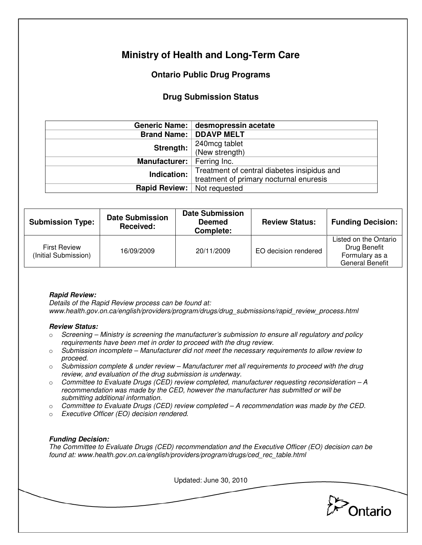# **Ministry of Health and Long-Term Care**

## **Ontario Public Drug Programs**

### **Drug Submission Status**

|                                     | Generic Name: desmopressin acetate          |  |  |
|-------------------------------------|---------------------------------------------|--|--|
|                                     | <b>Brand Name:   DDAVP MELT</b>             |  |  |
| Strength:                           | 240mcg tablet<br>(New strength)             |  |  |
|                                     |                                             |  |  |
| <b>Manufacturer:</b>   Ferring Inc. |                                             |  |  |
| Indication:                         | Treatment of central diabetes insipidus and |  |  |
|                                     | treatment of primary nocturnal enuresis     |  |  |
| <b>Rapid Review:</b>                | Not requested                               |  |  |

| <b>Submission Type:</b>                     | <b>Date Submission</b><br>Received: | <b>Date Submission</b><br><b>Deemed</b><br>Complete: | <b>Review Status:</b> | <b>Funding Decision:</b>                                                          |
|---------------------------------------------|-------------------------------------|------------------------------------------------------|-----------------------|-----------------------------------------------------------------------------------|
| <b>First Review</b><br>(Initial Submission) | 16/09/2009                          | 20/11/2009                                           | EO decision rendered  | Listed on the Ontario<br>Drug Benefit<br>Formulary as a<br><b>General Benefit</b> |

#### **Rapid Review:**

Details of the Rapid Review process can be found at: www.health.gov.on.ca/english/providers/program/drugs/drug\_submissions/rapid\_review\_process.html

#### **Review Status:**

- $\circ$  Screening Ministry is screening the manufacturer's submission to ensure all regulatory and policy requirements have been met in order to proceed with the drug review.
- $\circ$  Submission incomplete Manufacturer did not meet the necessary requirements to allow review to proceed.
- $\circ$  Submission complete & under review Manufacturer met all requirements to proceed with the drug review, and evaluation of the drug submission is underway.
- $\circ$  Committee to Evaluate Drugs (CED) review completed, manufacturer requesting reconsideration A recommendation was made by the CED, however the manufacturer has submitted or will be submitting additional information.
- $\circ$  Committee to Evaluate Drugs (CED) review completed  $-A$  recommendation was made by the CED.
- o Executive Officer (EO) decision rendered.

#### **Funding Decision:**

The Committee to Evaluate Drugs (CED) recommendation and the Executive Officer (EO) decision can be found at: www.health.gov.on.ca/english/providers/program/drugs/ced\_rec\_table.html

Updated: June 30, 2010